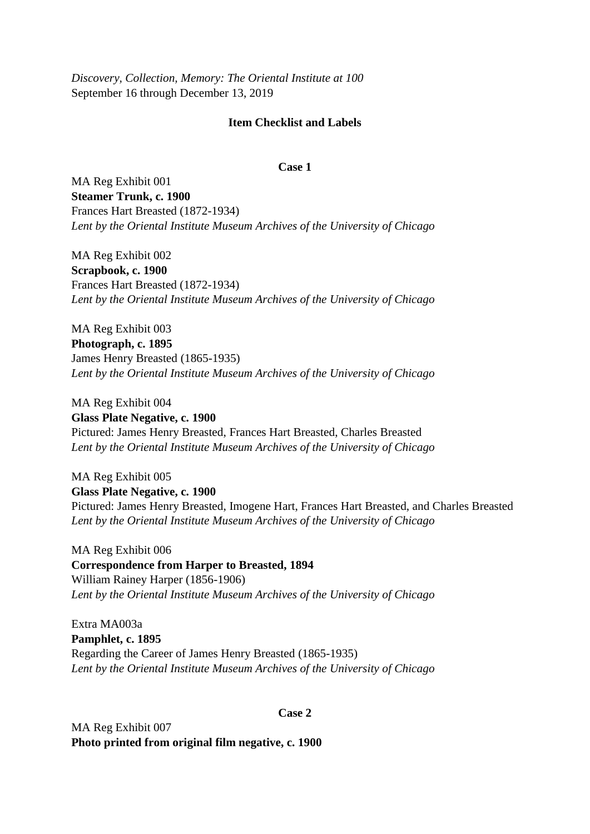*Discovery, Collection, Memory: The Oriental Institute at 100* September 16 through December 13, 2019

## **Item Checklist and Labels**

#### **Case 1**

MA Reg Exhibit 001 **Steamer Trunk, c. 1900** Frances Hart Breasted (1872-1934) *Lent by the Oriental Institute Museum Archives of the University of Chicago*

MA Reg Exhibit 002 **Scrapbook, c. 1900** Frances Hart Breasted (1872-1934) *Lent by the Oriental Institute Museum Archives of the University of Chicago*

MA Reg Exhibit 003 **Photograph, c. 1895** James Henry Breasted (1865-1935) *Lent by the Oriental Institute Museum Archives of the University of Chicago*

MA Reg Exhibit 004 **Glass Plate Negative, c. 1900** Pictured: James Henry Breasted, Frances Hart Breasted, Charles Breasted *Lent by the Oriental Institute Museum Archives of the University of Chicago*

MA Reg Exhibit 005 **Glass Plate Negative, c. 1900** Pictured: James Henry Breasted, Imogene Hart, Frances Hart Breasted, and Charles Breasted *Lent by the Oriental Institute Museum Archives of the University of Chicago*

MA Reg Exhibit 006 **Correspondence from Harper to Breasted, 1894** William Rainey Harper (1856-1906) *Lent by the Oriental Institute Museum Archives of the University of Chicago*

Extra MA003a **Pamphlet, c. 1895** Regarding the Career of James Henry Breasted (1865-1935) *Lent by the Oriental Institute Museum Archives of the University of Chicago*

## **Case 2**

MA Reg Exhibit 007 **Photo printed from original film negative, c. 1900**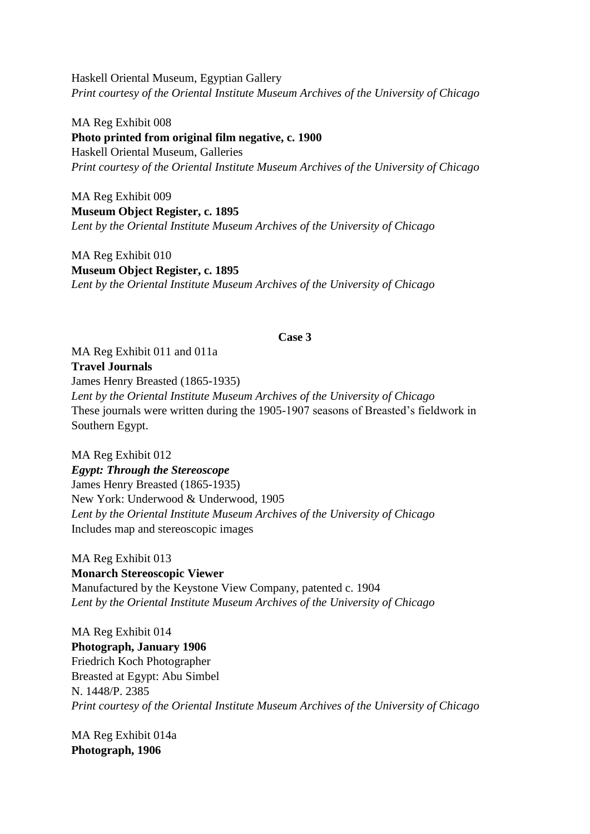Haskell Oriental Museum, Egyptian Gallery *Print courtesy of the Oriental Institute Museum Archives of the University of Chicago*

MA Reg Exhibit 008 **Photo printed from original film negative, c. 1900** Haskell Oriental Museum, Galleries *Print courtesy of the Oriental Institute Museum Archives of the University of Chicago*

MA Reg Exhibit 009 **Museum Object Register, c. 1895**  *Lent by the Oriental Institute Museum Archives of the University of Chicago*

MA Reg Exhibit 010 **Museum Object Register, c. 1895** *Lent by the Oriental Institute Museum Archives of the University of Chicago*

### **Case 3**

MA Reg Exhibit 011 and 011a **Travel Journals**  James Henry Breasted (1865-1935) *Lent by the Oriental Institute Museum Archives of the University of Chicago* These journals were written during the 1905-1907 seasons of Breasted's fieldwork in Southern Egypt.

MA Reg Exhibit 012 *Egypt: Through the Stereoscope* James Henry Breasted (1865-1935) New York: Underwood & Underwood, 1905 *Lent by the Oriental Institute Museum Archives of the University of Chicago* Includes map and stereoscopic images

MA Reg Exhibit 013 **Monarch Stereoscopic Viewer** Manufactured by the Keystone View Company, patented c. 1904 *Lent by the Oriental Institute Museum Archives of the University of Chicago*

MA Reg Exhibit 014 **Photograph, January 1906** Friedrich Koch Photographer Breasted at Egypt: Abu Simbel N. 1448/P. 2385 *Print courtesy of the Oriental Institute Museum Archives of the University of Chicago*

MA Reg Exhibit 014a **Photograph, 1906**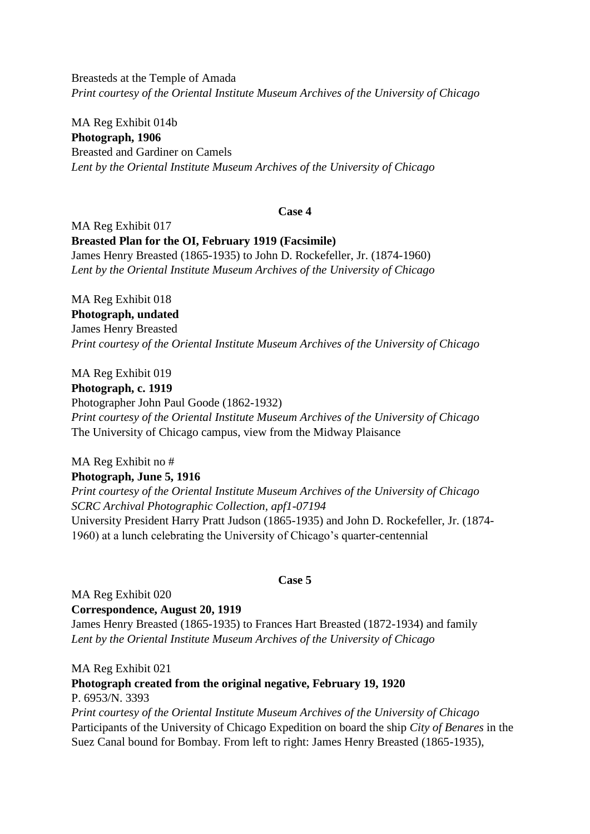Breasteds at the Temple of Amada *Print courtesy of the Oriental Institute Museum Archives of the University of Chicago*

MA Reg Exhibit 014b **Photograph, 1906** Breasted and Gardiner on Camels *Lent by the Oriental Institute Museum Archives of the University of Chicago*

## **Case 4**

MA Reg Exhibit 017 **Breasted Plan for the OI, February 1919 (Facsimile)**  James Henry Breasted (1865-1935) to John D. Rockefeller, Jr. (1874-1960) *Lent by the Oriental Institute Museum Archives of the University of Chicago*

MA Reg Exhibit 018 **Photograph, undated** James Henry Breasted *Print courtesy of the Oriental Institute Museum Archives of the University of Chicago*

MA Reg Exhibit 019

**Photograph, c. 1919**

Photographer John Paul Goode (1862-1932) *Print courtesy of the Oriental Institute Museum Archives of the University of Chicago* The University of Chicago campus, view from the Midway Plaisance

MA Reg Exhibit no # **Photograph, June 5, 1916** *Print courtesy of the Oriental Institute Museum Archives of the University of Chicago SCRC Archival Photographic Collection, apf1-07194* University President Harry Pratt Judson (1865-1935) and John D. Rockefeller, Jr. (1874- 1960) at a lunch celebrating the University of Chicago's quarter-centennial

## **Case 5**

MA Reg Exhibit 020 **Correspondence, August 20, 1919** James Henry Breasted (1865-1935) to Frances Hart Breasted (1872-1934) and family *Lent by the Oriental Institute Museum Archives of the University of Chicago*

MA Reg Exhibit 021

## **Photograph created from the original negative, February 19, 1920** P. 6953/N. 3393

*Print courtesy of the Oriental Institute Museum Archives of the University of Chicago* Participants of the University of Chicago Expedition on board the ship *City of Benares* in the Suez Canal bound for Bombay. From left to right: James Henry Breasted (1865-1935),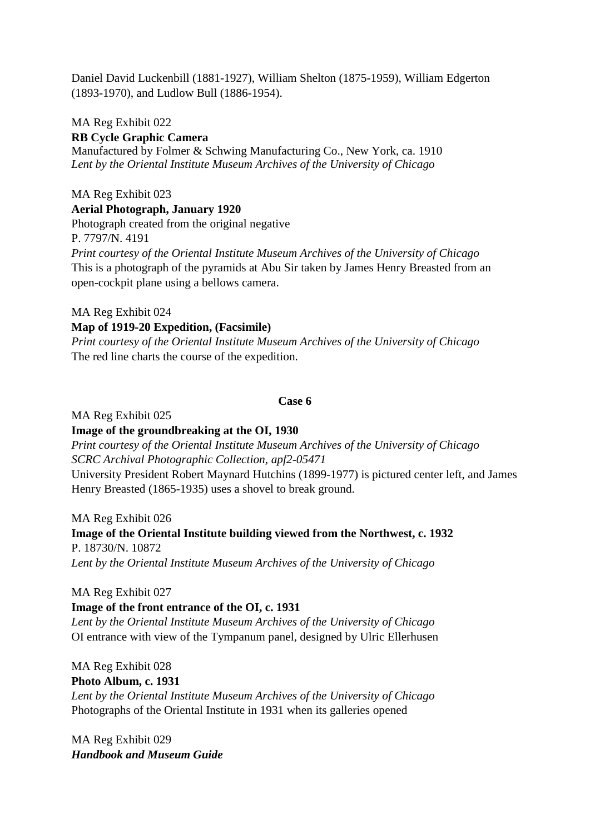Daniel David Luckenbill (1881-1927), William Shelton (1875-1959), William Edgerton (1893-1970), and Ludlow Bull (1886-1954).

MA Reg Exhibit 022 **RB Cycle Graphic Camera** Manufactured by Folmer & Schwing Manufacturing Co., New York, ca. 1910 *Lent by the Oriental Institute Museum Archives of the University of Chicago*

MA Reg Exhibit 023 **Aerial Photograph, January 1920** Photograph created from the original negative P. 7797/N. 4191 *Print courtesy of the Oriental Institute Museum Archives of the University of Chicago* This is a photograph of the pyramids at Abu Sir taken by James Henry Breasted from an open-cockpit plane using a bellows camera.

MA Reg Exhibit 024

**Map of 1919-20 Expedition, (Facsimile)**

*Print courtesy of the Oriental Institute Museum Archives of the University of Chicago* The red line charts the course of the expedition.

## **Case 6**

MA Reg Exhibit 025

**Image of the groundbreaking at the OI, 1930** *Print courtesy of the Oriental Institute Museum Archives of the University of Chicago SCRC Archival Photographic Collection, apf2-05471* University President Robert Maynard Hutchins (1899-1977) is pictured center left, and James Henry Breasted (1865-1935) uses a shovel to break ground.

MA Reg Exhibit 026 **Image of the Oriental Institute building viewed from the Northwest, c. 1932** P. 18730/N. 10872 *Lent by the Oriental Institute Museum Archives of the University of Chicago*

MA Reg Exhibit 027

**Image of the front entrance of the OI, c. 1931** 

*Lent by the Oriental Institute Museum Archives of the University of Chicago* OI entrance with view of the Tympanum panel, designed by Ulric Ellerhusen

MA Reg Exhibit 028 **Photo Album, c. 1931** *Lent by the Oriental Institute Museum Archives of the University of Chicago* Photographs of the Oriental Institute in 1931 when its galleries opened

MA Reg Exhibit 029 *Handbook and Museum Guide*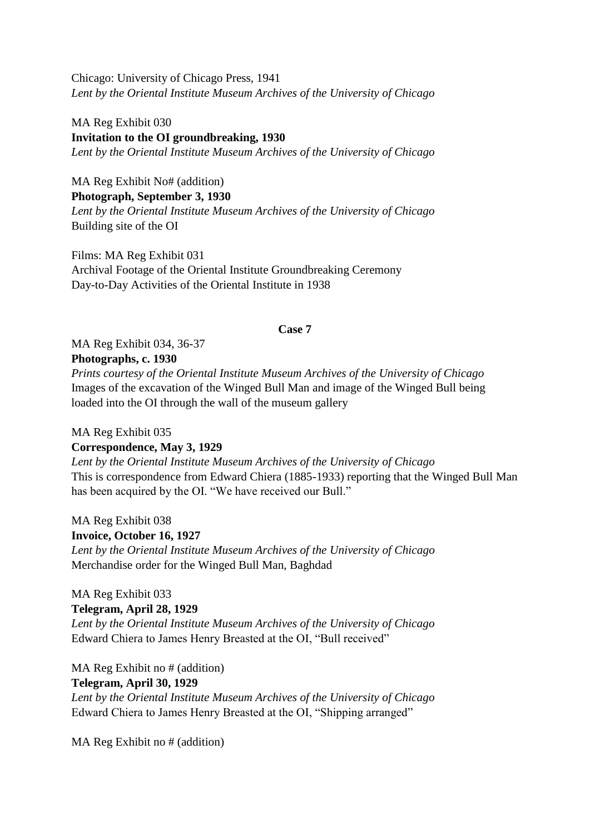Chicago: University of Chicago Press, 1941 *Lent by the Oriental Institute Museum Archives of the University of Chicago*

MA Reg Exhibit 030 **Invitation to the OI groundbreaking, 1930** *Lent by the Oriental Institute Museum Archives of the University of Chicago*

MA Reg Exhibit No# (addition) **Photograph, September 3, 1930** *Lent by the Oriental Institute Museum Archives of the University of Chicago* Building site of the OI

Films: MA Reg Exhibit 031 Archival Footage of the Oriental Institute Groundbreaking Ceremony Day-to-Day Activities of the Oriental Institute in 1938

## **Case 7**

MA Reg Exhibit 034, 36-37 **Photographs, c. 1930**

*Prints courtesy of the Oriental Institute Museum Archives of the University of Chicago* Images of the excavation of the Winged Bull Man and image of the Winged Bull being loaded into the OI through the wall of the museum gallery

#### MA Reg Exhibit 035

## **Correspondence, May 3, 1929**

*Lent by the Oriental Institute Museum Archives of the University of Chicago* This is correspondence from Edward Chiera (1885-1933) reporting that the Winged Bull Man has been acquired by the OI. "We have received our Bull."

MA Reg Exhibit 038 **Invoice, October 16, 1927** *Lent by the Oriental Institute Museum Archives of the University of Chicago* Merchandise order for the Winged Bull Man, Baghdad

MA Reg Exhibit 033 **Telegram, April 28, 1929** *Lent by the Oriental Institute Museum Archives of the University of Chicago* Edward Chiera to James Henry Breasted at the OI, "Bull received"

MA Reg Exhibit no # (addition) **Telegram, April 30, 1929** *Lent by the Oriental Institute Museum Archives of the University of Chicago* Edward Chiera to James Henry Breasted at the OI, "Shipping arranged"

MA Reg Exhibit no # (addition)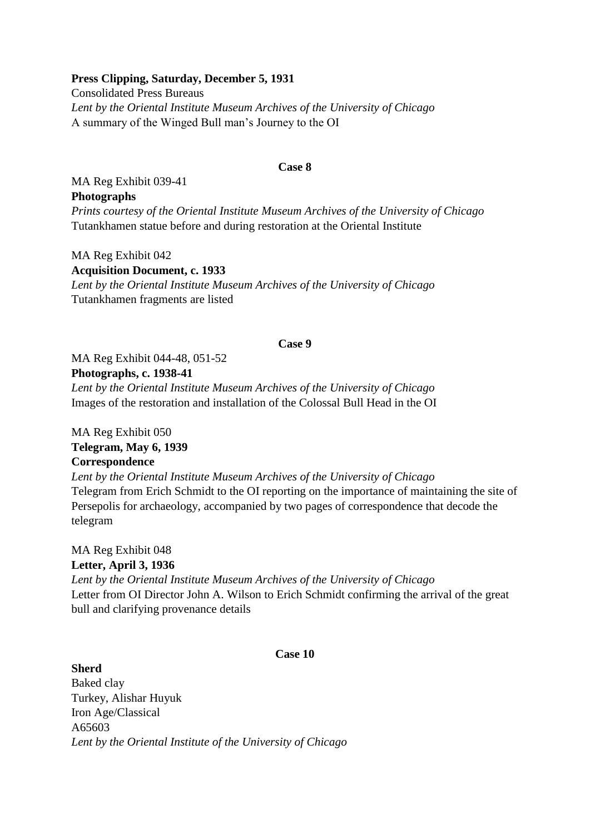## **Press Clipping, Saturday, December 5, 1931**

Consolidated Press Bureaus *Lent by the Oriental Institute Museum Archives of the University of Chicago* A summary of the Winged Bull man's Journey to the OI

#### **Case 8**

MA Reg Exhibit 039-41 **Photographs** *Prints courtesy of the Oriental Institute Museum Archives of the University of Chicago* Tutankhamen statue before and during restoration at the Oriental Institute

MA Reg Exhibit 042 **Acquisition Document, c. 1933**  *Lent by the Oriental Institute Museum Archives of the University of Chicago* Tutankhamen fragments are listed

## **Case 9**

MA Reg Exhibit 044-48, 051-52

## **Photographs, c. 1938-41**

*Lent by the Oriental Institute Museum Archives of the University of Chicago* Images of the restoration and installation of the Colossal Bull Head in the OI

MA Reg Exhibit 050 **Telegram, May 6, 1939 Correspondence**

*Lent by the Oriental Institute Museum Archives of the University of Chicago* Telegram from Erich Schmidt to the OI reporting on the importance of maintaining the site of Persepolis for archaeology, accompanied by two pages of correspondence that decode the telegram

MA Reg Exhibit 048 **Letter, April 3, 1936** *Lent by the Oriental Institute Museum Archives of the University of Chicago* Letter from OI Director John A. Wilson to Erich Schmidt confirming the arrival of the great bull and clarifying provenance details

## **Case 10**

**Sherd** Baked clay Turkey, Alishar Huyuk Iron Age/Classical A65603 *Lent by the Oriental Institute of the University of Chicago*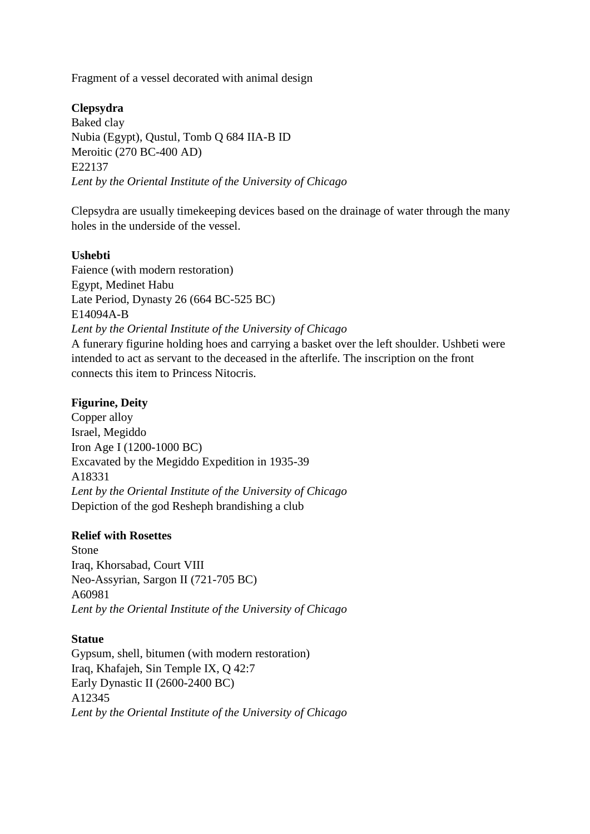Fragment of a vessel decorated with animal design

# **Clepsydra**

Baked clay Nubia (Egypt), Qustul, Tomb Q 684 IIA-B ID Meroitic (270 BC-400 AD) E22137 *Lent by the Oriental Institute of the University of Chicago*

Clepsydra are usually timekeeping devices based on the drainage of water through the many holes in the underside of the vessel.

# **Ushebti**

Faience (with modern restoration) Egypt, Medinet Habu Late Period, Dynasty 26 (664 BC-525 BC) E14094A-B *Lent by the Oriental Institute of the University of Chicago* A funerary figurine holding hoes and carrying a basket over the left shoulder. Ushbeti were intended to act as servant to the deceased in the afterlife. The inscription on the front connects this item to Princess Nitocris.

# **Figurine, Deity**

Copper alloy Israel, Megiddo Iron Age I (1200-1000 BC) Excavated by the Megiddo Expedition in 1935-39 A18331 *Lent by the Oriental Institute of the University of Chicago* Depiction of the god Resheph brandishing a club

# **Relief with Rosettes**

Stone Iraq, Khorsabad, Court VIII Neo-Assyrian, Sargon II (721-705 BC) A60981 *Lent by the Oriental Institute of the University of Chicago*

# **Statue**

Gypsum, shell, bitumen (with modern restoration) Iraq, Khafajeh, Sin Temple IX, Q 42:7 Early Dynastic II (2600-2400 BC) A12345 *Lent by the Oriental Institute of the University of Chicago*